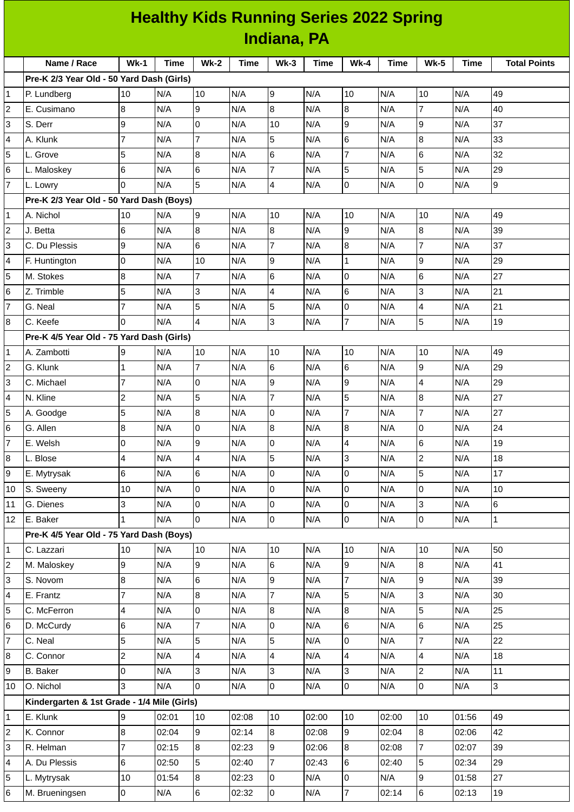|                                           | <b>Healthy Kids Running Series 2022 Spring</b><br>Indiana, PA<br><b>Total Points</b><br>$Wk-2$<br>$Wk-3$<br>$Wk-1$<br><b>Time</b><br><b>Time</b><br><b>Time</b><br>$Wk-4$<br><b>Time</b><br><b>Wk-5</b><br>Time<br>10<br>10<br>N/A<br>N/A<br>N/A<br>N/A<br>N/A<br>10<br>10<br>49<br>19 |     |  |      |    |     |    |     |  |     |     |
|-------------------------------------------|----------------------------------------------------------------------------------------------------------------------------------------------------------------------------------------------------------------------------------------------------------------------------------------|-----|--|------|----|-----|----|-----|--|-----|-----|
| Name / Race                               |                                                                                                                                                                                                                                                                                        |     |  |      |    |     |    |     |  |     |     |
| Pre-K 2/3 Year Old - 50 Yard Dash (Girls) |                                                                                                                                                                                                                                                                                        |     |  |      |    |     |    |     |  |     |     |
| P. Lundberg                               |                                                                                                                                                                                                                                                                                        |     |  |      |    |     |    |     |  |     |     |
| IF. Cusimano                              |                                                                                                                                                                                                                                                                                        | N/A |  | IN/A | 18 | N/A | l8 | N/A |  | N/A | 140 |

| 2              | E. Cusimano                                 | 8                        | N/A   | 9                | N/A   | 8              | N/A   | 8              | N/A   | $\overline{7}$          | N/A   | 40             |
|----------------|---------------------------------------------|--------------------------|-------|------------------|-------|----------------|-------|----------------|-------|-------------------------|-------|----------------|
| 3              | S. Derr                                     | 9                        | N/A   | $\mathbf 0$      | N/A   | 10             | N/A   | 9              | N/A   | 9                       | N/A   | 37             |
| 4              | A. Klunk                                    | $\overline{7}$           | N/A   | $\overline{7}$   | N/A   | 5              | N/A   | 6              | N/A   | $\boldsymbol{8}$        | N/A   | 33             |
| 5              | L. Grove                                    | 5                        | N/A   | $\overline{8}$   | N/A   | 6              | N/A   | $\overline{7}$ | N/A   | $6\phantom{a}$          | N/A   | 32             |
| 6              | L. Maloskey                                 | 6                        | N/A   | 6                | N/A   | $\overline{7}$ | N/A   | 5              | N/A   | 5                       | N/A   | 29             |
| $\overline{7}$ | L. Lowry                                    | l0                       | N/A   | 5                | N/A   | 4              | N/A   | 0              | N/A   | $\mathsf 0$             | N/A   | $\overline{9}$ |
|                | Pre-K 2/3 Year Old - 50 Yard Dash (Boys)    |                          |       |                  |       |                |       |                |       |                         |       |                |
| 1              | A. Nichol                                   | 10                       | N/A   | 9                | N/A   | 10             | N/A   | 10             | N/A   | 10                      | N/A   | 49             |
| $\overline{c}$ | J. Betta                                    | $6\phantom{.}6$          | N/A   | $\overline{8}$   | N/A   | 8              | N/A   | 9              | N/A   | $\overline{8}$          | N/A   | 39             |
| 3              | C. Du Plessis                               | 9                        | N/A   | $6\overline{6}$  | N/A   | $\overline{7}$ | N/A   | 8              | N/A   | 7                       | N/A   | 37             |
| 4              | F. Huntington                               | 0                        | N/A   | 10               | N/A   | 9              | N/A   | $\mathbf 1$    | N/A   | 9                       | N/A   | 29             |
| 5              | M. Stokes                                   | $\bf{8}$                 | N/A   | $\overline{7}$   | N/A   | 6              | N/A   | 0              | N/A   | $6\phantom{a}$          | N/A   | 27             |
| 6              | Z. Trimble                                  | 5                        | N/A   | 3                | N/A   | 4              | N/A   | 6              | N/A   | 3                       | N/A   | 21             |
| 7              | G. Neal                                     | $\overline{7}$           | N/A   | 5                | N/A   | 5              | N/A   | 0              | N/A   | 4                       | N/A   | 21             |
| 8              | C. Keefe                                    | l0                       | N/A   | $\overline{4}$   | N/A   | 3              | N/A   | $\overline{7}$ | N/A   | 5                       | N/A   | 19             |
|                | Pre-K 4/5 Year Old - 75 Yard Dash (Girls)   |                          |       |                  |       |                |       |                |       |                         |       |                |
| 1              | A. Zambotti                                 | 9                        | N/A   | 10               | N/A   | 10             | N/A   | 10             | N/A   | 10                      | N/A   | 49             |
| 2              | G. Klunk                                    | $\mathbf{1}$             | N/A   | $\overline{7}$   | N/A   | 6              | N/A   | $6\phantom{1}$ | N/A   | 9                       | N/A   | 29             |
| 3              | C. Michael                                  | $\overline{7}$           | N/A   | 0                | N/A   | 9              | N/A   | 9              | N/A   | $\overline{\mathbf{4}}$ | N/A   | 29             |
| 4              | N. Kline                                    | $\overline{c}$           | N/A   | 5                | N/A   | $\overline{7}$ | N/A   | 5              | N/A   | 8                       | N/A   | 27             |
| 5              | A. Goodge                                   | 5                        | N/A   | $\overline{8}$   | N/A   | $\Omega$       | N/A   | $\overline{7}$ | N/A   | 7                       | N/A   | 27             |
| 6              | G. Allen                                    | $\bf 8$                  | N/A   | 0                | N/A   | 8              | N/A   | 8              | N/A   | 0                       | N/A   | 24             |
| 7              | E. Welsh                                    | $\overline{0}$           | N/A   | 9                | N/A   | 0              | N/A   | $\overline{4}$ | N/A   | 6                       | N/A   | 19             |
| 8              | L. Blose                                    | $\overline{\mathcal{L}}$ | N/A   | $\overline{4}$   | N/A   | 5              | N/A   | 3              | N/A   | $\overline{c}$          | N/A   | 18             |
| 9              | E. Mytrysak                                 | $6\phantom{.}6$          | N/A   | $6\phantom{.}6$  | N/A   | 0              | N/A   | 0              | N/A   | 5                       | N/A   | 17             |
| 10             | S. Sweeny                                   | 10                       | N/A   | O                | N/A   | $\Omega$       | N/A   | $\Omega$       | N/A   | $\overline{0}$          | N/A   | 10             |
| 11             | G. Dienes                                   | 3                        | N/A   | 0                | N/A   | 0              | N/A   | 0              | N/A   | 3                       | N/A   | 6              |
| 12             | E. Baker                                    | $\overline{1}$           | N/A   | $\overline{0}$   | N/A   | 0              | N/A   | 0              | N/A   | 0                       | N/A   | $\mathbf{1}$   |
|                | Pre-K 4/5 Year Old - 75 Yard Dash (Boys)    |                          |       |                  |       |                |       |                |       |                         |       |                |
| 1              | C. Lazzari                                  | 10                       | N/A   | 10               | N/A   | 10             | N/A   | 10             | N/A   | 10                      | N/A   | 50             |
| 2              | M. Maloskey                                 | 9                        | N/A   | 9                | N/A   | 6              | N/A   | 9              | N/A   | $\overline{8}$          | N/A   | 41             |
| 3              | S. Novom                                    | $\bf 8$                  | N/A   | $6\phantom{.}6$  | N/A   | 9              | N/A   | $\overline{7}$ | N/A   | 9                       | N/A   | 39             |
| 4              | E. Frantz                                   | $\overline{7}$           | N/A   | $\bf{8}$         | N/A   | $\overline{7}$ | N/A   | 5              | N/A   | $\overline{3}$          | N/A   | 30             |
| 5              | C. McFerron                                 | $\pmb{4}$                | N/A   | O                | N/A   | 8              | N/A   | 8              | N/A   | 5                       | N/A   | 25             |
| 6              | D. McCurdy                                  | 6                        | N/A   | $\overline{7}$   | N/A   | 0              | N/A   | 6              | N/A   | 6                       | N/A   | 25             |
| $\overline{7}$ | C. Neal                                     | 5                        | N/A   | 5                | N/A   | 5              | N/A   | 0              | N/A   | $\overline{7}$          | N/A   | 22             |
| 8              | C. Connor                                   | $\overline{c}$           | N/A   | $\overline{4}$   | N/A   | 4              | N/A   | $\overline{4}$ | N/A   | $\overline{\mathbf{4}}$ | N/A   | 18             |
| 9              | <b>B.</b> Baker                             | 0                        | N/A   | 3                | N/A   | 3              | N/A   | 3              | N/A   | $\overline{c}$          | N/A   | 11             |
| 10             | O. Nichol                                   | 3                        | N/A   | $\overline{0}$   | N/A   | 0              | N/A   | $\mathbf 0$    | N/A   | $\overline{0}$          | N/A   | 3              |
|                | Kindergarten & 1st Grade - 1/4 Mile (Girls) |                          |       |                  |       |                |       |                |       |                         |       |                |
| 1              | E. Klunk                                    | 9                        | 02:01 | 10               | 02:08 | $10\,$         | 02:00 | 10             | 02:00 | 10                      | 01:56 | 49             |
| 2              | K. Connor                                   | 8                        | 02:04 | 9                | 02:14 | 8              | 02:08 | 9              | 02:04 | 8                       | 02:06 | 42             |
| 3              | R. Helman                                   | $\overline{7}$           | 02:15 | 8                | 02:23 | 9              | 02:06 | 8              | 02:08 | $\overline{7}$          | 02:07 | 39             |
| 4              | A. Du Plessis                               | 6                        | 02:50 | 5                | 02:40 | $\overline{7}$ | 02:43 | 6              | 02:40 | 5                       | 02:34 | 29             |
| 5              | L. Mytrysak                                 | 10                       | 01:54 | $\boldsymbol{8}$ | 02:23 | 0              | N/A   | 0              | N/A   | 9                       | 01:58 | 27             |
| 6              | M. Brueningsen                              | l0                       | N/A   | 6                | 02:32 | $\overline{0}$ | N/A   | $\overline{7}$ | 02:14 | 6                       | 02:13 | 19             |